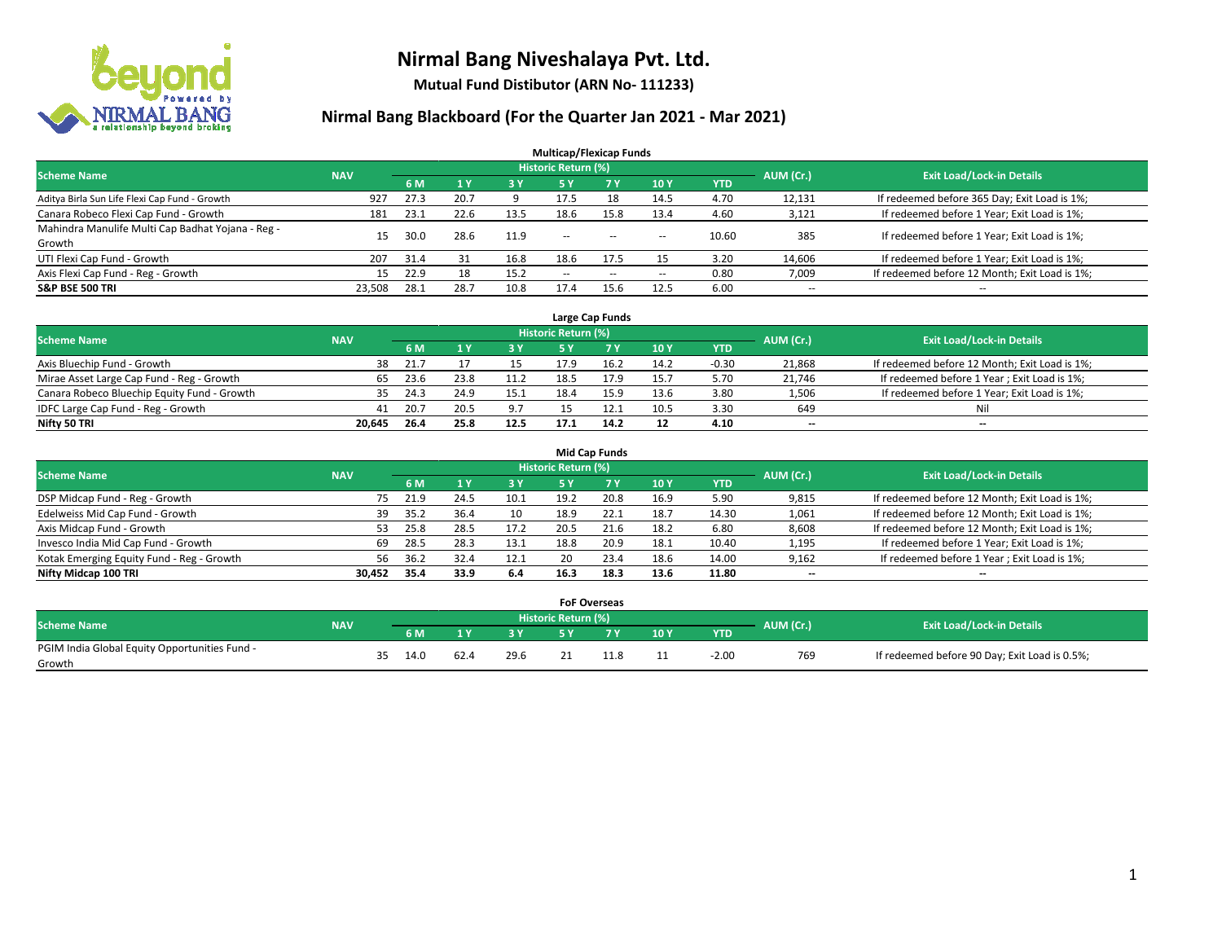

**Mutual Fund Distibutor (ARN No- 111233)**

| <b>Multicap/Flexicap Funds</b>                    |            |      |                |            |                            |            |                          |            |                          |                                               |  |  |  |
|---------------------------------------------------|------------|------|----------------|------------|----------------------------|------------|--------------------------|------------|--------------------------|-----------------------------------------------|--|--|--|
| <b>Scheme Name</b>                                | <b>NAV</b> |      |                |            | <b>Historic Return (%)</b> |            |                          |            | AUM (Cr.)                | <b>Exit Load/Lock-in Details</b>              |  |  |  |
|                                                   |            | 6 M  | 1 <sub>Y</sub> | <b>3 Y</b> | 5 Y                        | <b>7 Y</b> | <b>10Y</b>               | <b>YTD</b> |                          |                                               |  |  |  |
| Aditya Birla Sun Life Flexi Cap Fund - Growth     | 927        | 27.3 | 20.7           |            | 17.5                       | 18         | 14.5                     | 4.70       | 12,131                   | If redeemed before 365 Day; Exit Load is 1%;  |  |  |  |
| Canara Robeco Flexi Cap Fund - Growth             | 181        | 23.1 | 22.6           | 13.5       | 18.6                       | 15.8       | 13.4                     | 4.60       | 3,121                    | If redeemed before 1 Year; Exit Load is 1%;   |  |  |  |
| Mahindra Manulife Multi Cap Badhat Yojana - Reg - | 15         | 30.0 | 28.6           | 11.9       | $\overline{\phantom{a}}$   |            |                          | 10.60      | 385                      | If redeemed before 1 Year; Exit Load is 1%;   |  |  |  |
| Growth                                            |            |      |                |            |                            | $- -$      | $\overline{\phantom{a}}$ |            |                          |                                               |  |  |  |
| UTI Flexi Cap Fund - Growth                       | 207        | 31.4 | 31             | 16.8       | 18.6                       | 17.5       | 15                       | 3.20       | 14,606                   | If redeemed before 1 Year; Exit Load is 1%;   |  |  |  |
| Axis Flexi Cap Fund - Reg - Growth                | 15         | 22.9 | 18             | 15.2       | $\overline{\phantom{a}}$   | $-$        | --                       | 0.80       | 7,009                    | If redeemed before 12 Month; Exit Load is 1%; |  |  |  |
| <b>S&amp;P BSE 500 TRI</b>                        | 23,508     | 28.1 | 28.7           | 10.8       | 17.4                       | 15.6       | 12.5                     | 6.00       | $\overline{\phantom{a}}$ | $- -$                                         |  |  |  |

|                                             |            |      |      |      |                     | Large Cap Funds |      |            |           |                                               |
|---------------------------------------------|------------|------|------|------|---------------------|-----------------|------|------------|-----------|-----------------------------------------------|
| <b>Scheme Name</b>                          | <b>NAV</b> |      |      |      | Historic Return (%) |                 |      |            | AUM (Cr.) | <b>Exit Load/Lock-in Details</b>              |
|                                             |            | 6 M  |      | 3 Y  |                     |                 | 10Y  | <b>YTD</b> |           |                                               |
| Axis Bluechip Fund - Growth                 | 38         | 21.7 |      |      | 17.9                |                 | 14.2 | $-0.30$    | 21,868    | If redeemed before 12 Month; Exit Load is 1%; |
| Mirae Asset Large Cap Fund - Reg - Growth   | 65         | 23.6 | 23.8 | 11.2 | 18.5                | 17.9            | 15.7 | 5.70       | 21,746    | If redeemed before 1 Year; Exit Load is 1%;   |
| Canara Robeco Bluechip Equity Fund - Growth | 35         | 24.3 | 24.9 | 15.1 | 18.4                | 15.9            | 13.6 | 3.80       | 1,506     | If redeemed before 1 Year; Exit Load is 1%;   |
| IDFC Large Cap Fund - Reg - Growth          | 41         | 20.7 | 20.5 | 9.7  |                     |                 | 10.5 | 3.30       | 649       | Nil                                           |
| Nifty 50 TRI                                | 20.645     | 26.4 | 25.8 | 12.5 |                     | 14.2            | 12   | 4.10       | $- -$     | $-$                                           |

| <b>Mid Cap Funds</b>                      |            |           |                                  |      |           |      |      |      |            |                          |                                               |  |  |
|-------------------------------------------|------------|-----------|----------------------------------|------|-----------|------|------|------|------------|--------------------------|-----------------------------------------------|--|--|
| <b>Scheme Name</b>                        | <b>NAV</b> | AUM (Cr.) | <b>Exit Load/Lock-in Details</b> |      |           |      |      |      |            |                          |                                               |  |  |
|                                           |            |           | 6 M                              |      | <b>3Y</b> | 5 Y  |      | 10Y  | <b>YTD</b> |                          |                                               |  |  |
| DSP Midcap Fund - Reg - Growth            |            | 75        | 21.9                             | 24.5 | 10.1      | 19.2 | 20.8 | 16.9 | 5.90       | 9,815                    | If redeemed before 12 Month; Exit Load is 1%; |  |  |
| Edelweiss Mid Cap Fund - Growth           |            | 39        | 35.2                             | 36.4 | 10        | 18.9 | 22.1 | 18.7 | 14.30      | 1,061                    | If redeemed before 12 Month; Exit Load is 1%; |  |  |
| Axis Midcap Fund - Growth                 |            | 53        | 25.8                             | 28.5 | 17.2      | 20.5 |      | 18.2 | 6.80       | 8,608                    | If redeemed before 12 Month; Exit Load is 1%; |  |  |
| Invesco India Mid Cap Fund - Growth       |            | 69        | 28.5                             | 28.3 | 13.1      | 18.8 | 20.9 | 18.1 | 10.40      | 1,195                    | If redeemed before 1 Year; Exit Load is 1%;   |  |  |
| Kotak Emerging Equity Fund - Reg - Growth |            | 56        | 36.2                             | 32.4 | 12.1      | 20   | 23.4 | 18.6 | 14.00      | 9,162                    | If redeemed before 1 Year; Exit Load is 1%;   |  |  |
| Nifty Midcap 100 TRI                      | 30.452     |           | 35.4                             | 33.9 | 6.4       | 16.3 | 18.3 | 13.6 | 11.80      | $\overline{\phantom{m}}$ | $\overline{\phantom{a}}$                      |  |  |

|                                                         |            |    |      |      |      | <b>FoF Overseas</b>        |    |     |            |           |                                               |
|---------------------------------------------------------|------------|----|------|------|------|----------------------------|----|-----|------------|-----------|-----------------------------------------------|
| Scheme Name                                             | <b>NAV</b> |    |      |      |      | <b>Historic Return (%)</b> |    |     |            | AUM (Cr.) | <b>Exit Load/Lock-in Details</b>              |
|                                                         |            |    | 6 M  |      | 2V   |                            | 7V | 10Y | <b>YTD</b> |           |                                               |
| PGIM India Global Equity Opportunities Fund -<br>Growth |            | 35 | 14.0 | 62.4 | 29.6 |                            |    | 11  | $-2.00$    | 769       | If redeemed before 90 Day; Exit Load is 0.5%; |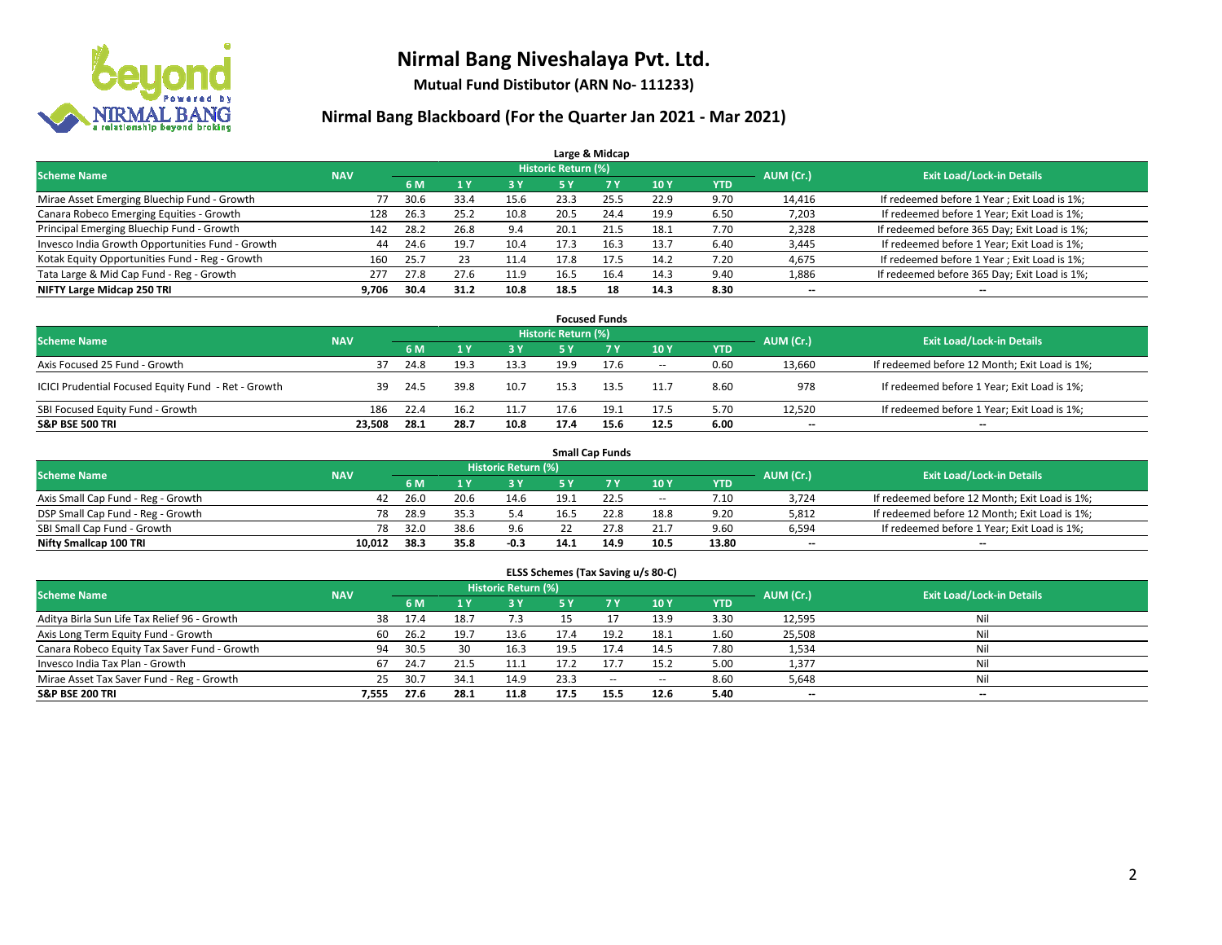

**Mutual Fund Distibutor (ARN No- 111233)**

| Large & Midcap                                   |            |      |              |      |                            |                |      |            |           |                                              |  |  |  |
|--------------------------------------------------|------------|------|--------------|------|----------------------------|----------------|------|------------|-----------|----------------------------------------------|--|--|--|
| <b>Scheme Name</b>                               | <b>NAV</b> |      |              |      | <b>Historic Return (%)</b> |                |      |            | AUM (Cr.) | <b>Exit Load/Lock-in Details</b>             |  |  |  |
|                                                  |            | 6 M  | $\sqrt{1}$ Y | 3 Y  | <b>5 Y</b>                 | 7 <sup>V</sup> | 10Y  | <b>YTD</b> |           |                                              |  |  |  |
| Mirae Asset Emerging Bluechip Fund - Growth      | 77         | 30.6 | 33.4         | 15.6 | 23.3                       | 25.5           | 22.9 | 9.70       | 14,416    | If redeemed before 1 Year; Exit Load is 1%;  |  |  |  |
| Canara Robeco Emerging Equities - Growth         | 128        | 26.3 | 25.2         | 10.8 | 20.5                       | 24.4           | 19.9 | 6.50       | 7,203     | If redeemed before 1 Year; Exit Load is 1%;  |  |  |  |
| Principal Emerging Bluechip Fund - Growth        | 142        | 28.2 | 26.8         | 9.4  | 20.1                       | 21.5           | 18.1 | 7.70       | 2,328     | If redeemed before 365 Day; Exit Load is 1%; |  |  |  |
| Invesco India Growth Opportunities Fund - Growth | 44         | 24.6 | 19.7         | 10.4 | 17.3                       | 16.3           | 13.7 | 6.40       | 3,445     | If redeemed before 1 Year; Exit Load is 1%;  |  |  |  |
| Kotak Equity Opportunities Fund - Reg - Growth   | 160        | 25.7 | 23           | 11.4 | 17.8                       | 17.5           | 14.2 | 7.20       | 4,675     | If redeemed before 1 Year; Exit Load is 1%;  |  |  |  |
| Tata Large & Mid Cap Fund - Reg - Growth         | 277        | 27.8 | 27.6         | 11.9 | 16.5                       | 16.4           | 14.3 | 9.40       | 1,886     | If redeemed before 365 Day; Exit Load is 1%; |  |  |  |
| NIFTY Large Midcap 250 TRI                       | 9,706      | 30.4 | 31.2         | 10.8 | 18.5                       | 18             | 14.3 | 8.30       | --        | --                                           |  |  |  |

| <b>Focused Funds</b>                                |            |      |      |      |                     |      |        |            |           |                                               |  |  |  |
|-----------------------------------------------------|------------|------|------|------|---------------------|------|--------|------------|-----------|-----------------------------------------------|--|--|--|
| <b>Scheme Name</b>                                  | <b>NAV</b> |      |      |      | Historic Return (%) |      |        |            | AUM (Cr.) | <b>Exit Load/Lock-in Details</b>              |  |  |  |
|                                                     |            | 6 M  |      | 3 Y  | 5 Y                 |      | 10Y    | <b>YTD</b> |           |                                               |  |  |  |
| Axis Focused 25 Fund - Growth                       | 37         | 24.8 | 19.3 | 13.3 | 19.9                | 17.6 | $\sim$ | 0.60       | 13,660    | If redeemed before 12 Month; Exit Load is 1%; |  |  |  |
| ICICI Prudential Focused Equity Fund - Ret - Growth | 39         | 24.5 | 39.8 | 10.7 | 15.3                | 13.5 | 11.7   | 8.60       | 978       | If redeemed before 1 Year; Exit Load is 1%;   |  |  |  |
| SBI Focused Equity Fund - Growth                    | 186        | 22.4 | 16.2 | 11.7 | 17.6                | 19.1 | 17.5   | 5.70       | 12.520    | If redeemed before 1 Year; Exit Load is 1%;   |  |  |  |
| <b>S&amp;P BSE 500 TRI</b>                          | 23.508     | 28.1 | 28.7 | 10.8 | 17.4                | 15.6 | 12.5   | 6.00       | $- -$     | $\overline{\phantom{a}}$                      |  |  |  |

| <b>Small Cap Funds</b>             |            |           |                                  |        |      |      |        |       |       |                                               |  |  |  |
|------------------------------------|------------|-----------|----------------------------------|--------|------|------|--------|-------|-------|-----------------------------------------------|--|--|--|
| <b>Scheme Name</b>                 | <b>NAV</b> | AUM (Cr.) | <b>Exit Load/Lock-in Details</b> |        |      |      |        |       |       |                                               |  |  |  |
|                                    |            | 6 M       |                                  | 73 Y.  |      |      | 10Y    | YTD   |       |                                               |  |  |  |
| Axis Small Cap Fund - Reg - Growth | 42         | 26.0      | 20.6                             | 14.6   | 19.1 | 22.5 | $\sim$ | 7.10  | 3.724 | If redeemed before 12 Month; Exit Load is 1%; |  |  |  |
| DSP Small Cap Fund - Reg - Growth  | 78         | 28.9      | 35.3                             | 5.4    | 16.5 | 22.8 | 18.8   | 9.20  | 5,812 | If redeemed before 12 Month; Exit Load is 1%; |  |  |  |
| SBI Small Cap Fund - Growth        | 78         | 32.0      | 38.6                             | 9.6    |      | 27.8 | 21.7   | 9.60  | 6,594 | If redeemed before 1 Year; Exit Load is 1%;   |  |  |  |
| Nifty Smallcap 100 TRI             | 10.012     | 38.3      | 35.8                             | $-0.3$ | 14.1 | 14.9 | 10.5   | 13.80 | $- -$ | $\overline{\phantom{a}}$                      |  |  |  |

| ELSS Schemes (Tax Saving u/s 80-C)           |            |      |                |                            |           |            |                          |            |           |                                  |  |  |  |
|----------------------------------------------|------------|------|----------------|----------------------------|-----------|------------|--------------------------|------------|-----------|----------------------------------|--|--|--|
| <b>Scheme Name</b>                           | <b>NAV</b> |      |                | <b>Historic Return (%)</b> |           |            |                          |            | AUM (Cr.) | <b>Exit Load/Lock-in Details</b> |  |  |  |
|                                              |            | 6 M  | 1 <sup>1</sup> | 3 Y                        | <b>5Y</b> | <b>7 Y</b> | <b>10Y</b>               | <b>YTD</b> |           |                                  |  |  |  |
| Aditya Birla Sun Life Tax Relief 96 - Growth | 38         | 17.4 | 18.7           | 7.3                        |           |            | 13.9                     | 3.30       | 12,595    | Nil                              |  |  |  |
| Axis Long Term Equity Fund - Growth          | 60         | 26.2 | 19.7           | 13.6                       | 17.4      | 19.2       | 18.1                     | 1.60       | 25,508    | Nil                              |  |  |  |
| Canara Robeco Equity Tax Saver Fund - Growth | 94         | 30.5 | 30             | 16.3                       | 19.5      | 17.4       | 14.5                     | 7.80       | 1,534     | Nil                              |  |  |  |
| Invesco India Tax Plan - Growth              | 67         | 24.7 | 21.5           | 11.1                       | 17.2      | 17.7       | 15.2                     | 5.00       | 1,377     | Nil                              |  |  |  |
| Mirae Asset Tax Saver Fund - Reg - Growth    | 25         | 30.7 | 34.1           | 14.9                       | 23.3      | $\sim$     | $\overline{\phantom{a}}$ | 8.60       | 5,648     | Nil                              |  |  |  |
| S&P BSE 200 TRI                              | 7.555      | 27.6 | 28.1           | 11.8                       | 17.5      | 15.5       | 12.6                     | 5.40       | $- -$     | $\overline{\phantom{a}}$         |  |  |  |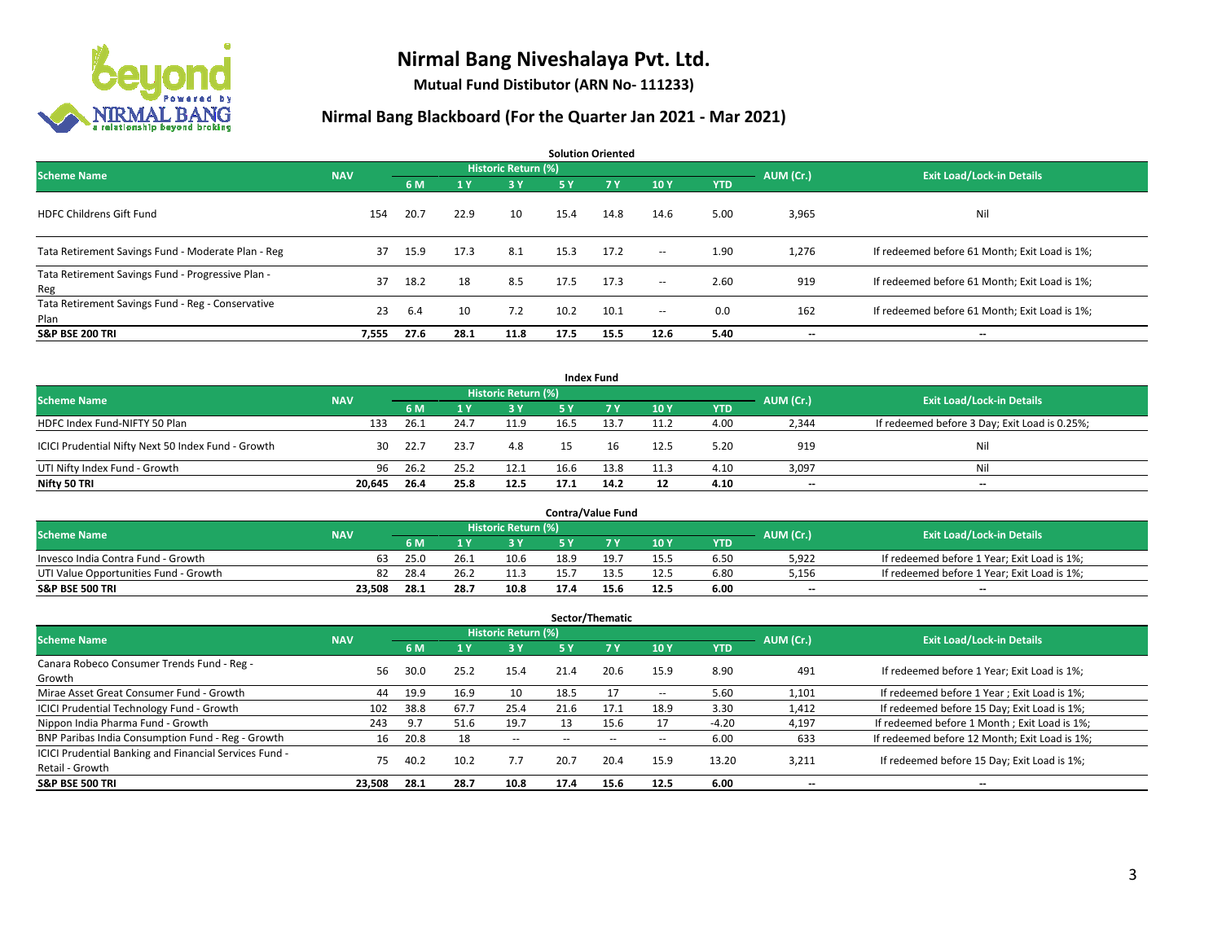

**Mutual Fund Distibutor (ARN No- 111233)**

| <b>Solution Oriented</b>                                  |            |      |                |                            |           |           |        |            |           |                                               |  |  |
|-----------------------------------------------------------|------------|------|----------------|----------------------------|-----------|-----------|--------|------------|-----------|-----------------------------------------------|--|--|
| <b>Scheme Name</b>                                        | <b>NAV</b> |      |                | <b>Historic Return (%)</b> |           |           |        |            | AUM (Cr.) | <b>Exit Load/Lock-in Details</b>              |  |  |
|                                                           |            | 6 M  | 1 <sup>1</sup> | 3 Y                        | <b>5Y</b> | <b>7Y</b> | 10Y    | <b>YTD</b> |           |                                               |  |  |
| <b>HDFC Childrens Gift Fund</b>                           | 154        | 20.7 | 22.9           | 10 <sup>1</sup>            | 15.4      | 14.8      | 14.6   | 5.00       | 3,965     | Nil                                           |  |  |
| Tata Retirement Savings Fund - Moderate Plan - Reg        | 37         | 15.9 | 17.3           | 8.1                        | 15.3      | 17.2      | $\sim$ | 1.90       | 1,276     | If redeemed before 61 Month; Exit Load is 1%; |  |  |
| Tata Retirement Savings Fund - Progressive Plan -<br>Reg  | 37         | 18.2 | 18             | 8.5                        | 17.5      | 17.3      | $\sim$ | 2.60       | 919       | If redeemed before 61 Month; Exit Load is 1%; |  |  |
| Tata Retirement Savings Fund - Reg - Conservative<br>Plan | 23         | 6.4  | 10             | 7.2                        | 10.2      | 10.1      | $\sim$ | 0.0        | 162       | If redeemed before 61 Month; Exit Load is 1%; |  |  |
| <b>S&amp;P BSE 200 TRI</b>                                | 7,555      | 27.6 | 28.1           | 11.8                       | 17.5      | 15.5      | 12.6   | 5.40       | --        | $\hspace{0.05cm}$                             |  |  |

| <b>Index Fund</b>                                  |            |                                  |      |           |           |      |      |            |                          |                                               |  |  |  |
|----------------------------------------------------|------------|----------------------------------|------|-----------|-----------|------|------|------------|--------------------------|-----------------------------------------------|--|--|--|
| <b>Scheme Name</b>                                 | AUM (Cr.)  | <b>Exit Load/Lock-in Details</b> |      |           |           |      |      |            |                          |                                               |  |  |  |
|                                                    | <b>NAV</b> | 6 M                              |      | <b>3Y</b> | <b>5Y</b> | 7 Y  | 10Y  | <b>YTD</b> |                          |                                               |  |  |  |
| HDFC Index Fund-NIFTY 50 Plan                      | 133        | 26.1                             | 24.7 | 11.9      | 16.5      | 13.7 | 11.2 | 4.00       | 2,344                    | If redeemed before 3 Day; Exit Load is 0.25%; |  |  |  |
| ICICI Prudential Nifty Next 50 Index Fund - Growth | 30         | 22.7                             | 23.7 | 4.8       |           |      | 12.5 | 5.20       | 919                      | Nil                                           |  |  |  |
| UTI Nifty Index Fund - Growth                      | 96         | 26.2                             | 25.2 | 12.1      | 16.6      | 13.8 | 11.3 | 4.10       | 3,097                    | Nil                                           |  |  |  |
| Nifty 50 TRI                                       | 20,645     | 26.4                             | 25.8 | 12.5      | 17.1      | 14.2 | 12   | 4.10       | $\overline{\phantom{a}}$ | $\overline{\phantom{a}}$                      |  |  |  |

|                                       |            |      |      |                     |      | <b>Contra/Value Fund</b> |      |            |           |                                             |
|---------------------------------------|------------|------|------|---------------------|------|--------------------------|------|------------|-----------|---------------------------------------------|
| <b>Scheme Name</b>                    | <b>NAV</b> |      |      | Historic Return (%) |      |                          |      |            | AUM (Cr.) | <b>Exit Load/Lock-in Details</b>            |
|                                       |            | 6 M  |      | 3 Y                 |      | 7 V                      | 10Y  | <b>YTD</b> |           |                                             |
| Invesco India Contra Fund - Growth    | 63         | 25.0 | 26.1 | 10.6                | 18.9 | 1Q -                     | 15.5 | 6.50       | 5,922     | If redeemed before 1 Year; Exit Load is 1%; |
| UTI Value Opportunities Fund - Growth | 82         | 28.4 | 26.2 | 11.3                | 15.7 |                          | 12.5 | 6.80       | 5,156     | If redeemed before 1 Year; Exit Load is 1%; |
| <b>S&amp;P BSE 500 TRI</b>            | 23.508     | 28.1 | 28.7 | 10.8                |      | 15.6                     | 12.5 | 6.00       | $- -$     | $\overline{\phantom{a}}$                    |

|                                                                           |            |      |                         |                            |      | Sector/Thematic |      |            |           |                                               |
|---------------------------------------------------------------------------|------------|------|-------------------------|----------------------------|------|-----------------|------|------------|-----------|-----------------------------------------------|
| <b>Scheme Name</b>                                                        | <b>NAV</b> |      |                         | <b>Historic Return (%)</b> |      |                 |      |            | AUM (Cr.) | <b>Exit Load/Lock-in Details</b>              |
|                                                                           |            | 6 M  | $\mathbf{1} \mathbf{v}$ | 3 Y                        | 5 Y  | 7Y              | 10Y  | <b>YTD</b> |           |                                               |
| Canara Robeco Consumer Trends Fund - Reg -<br>Growth                      | 56         | 30.0 | 25.2                    | 15.4                       | 21.4 | 20.6            | 15.9 | 8.90       | 491       | If redeemed before 1 Year; Exit Load is 1%;   |
| Mirae Asset Great Consumer Fund - Growth                                  | 44         | 19.9 | 16.9                    | 10                         | 18.5 | 17              | --   | 5.60       | 1,101     | If redeemed before 1 Year; Exit Load is 1%;   |
| <b>ICICI Prudential Technology Fund - Growth</b>                          | 102        | 38.8 | 67.7                    | 25.4                       | 21.6 | 17.1            | 18.9 | 3.30       | 1,412     | If redeemed before 15 Day; Exit Load is 1%;   |
| Nippon India Pharma Fund - Growth                                         | 243        | 9.7  | 51.6                    | 19.7                       | 13   | 15.6            |      | $-4.20$    | 4.197     | If redeemed before 1 Month; Exit Load is 1%;  |
| BNP Paribas India Consumption Fund - Reg - Growth                         | 16         | 20.8 | 18                      | $- -$                      |      |                 | --   | 6.00       | 633       | If redeemed before 12 Month; Exit Load is 1%; |
| ICICI Prudential Banking and Financial Services Fund -<br>Retail - Growth | 75         | 40.2 | 10.2                    | 7.7                        | 20.7 | 20.4            | 15.9 | 13.20      | 3,211     | If redeemed before 15 Day; Exit Load is 1%;   |
| <b>S&amp;P BSE 500 TRI</b>                                                | 23,508     | 28.1 | 28.7                    | 10.8                       | 17.4 | 15.6            | 12.5 | 6.00       | --        | --                                            |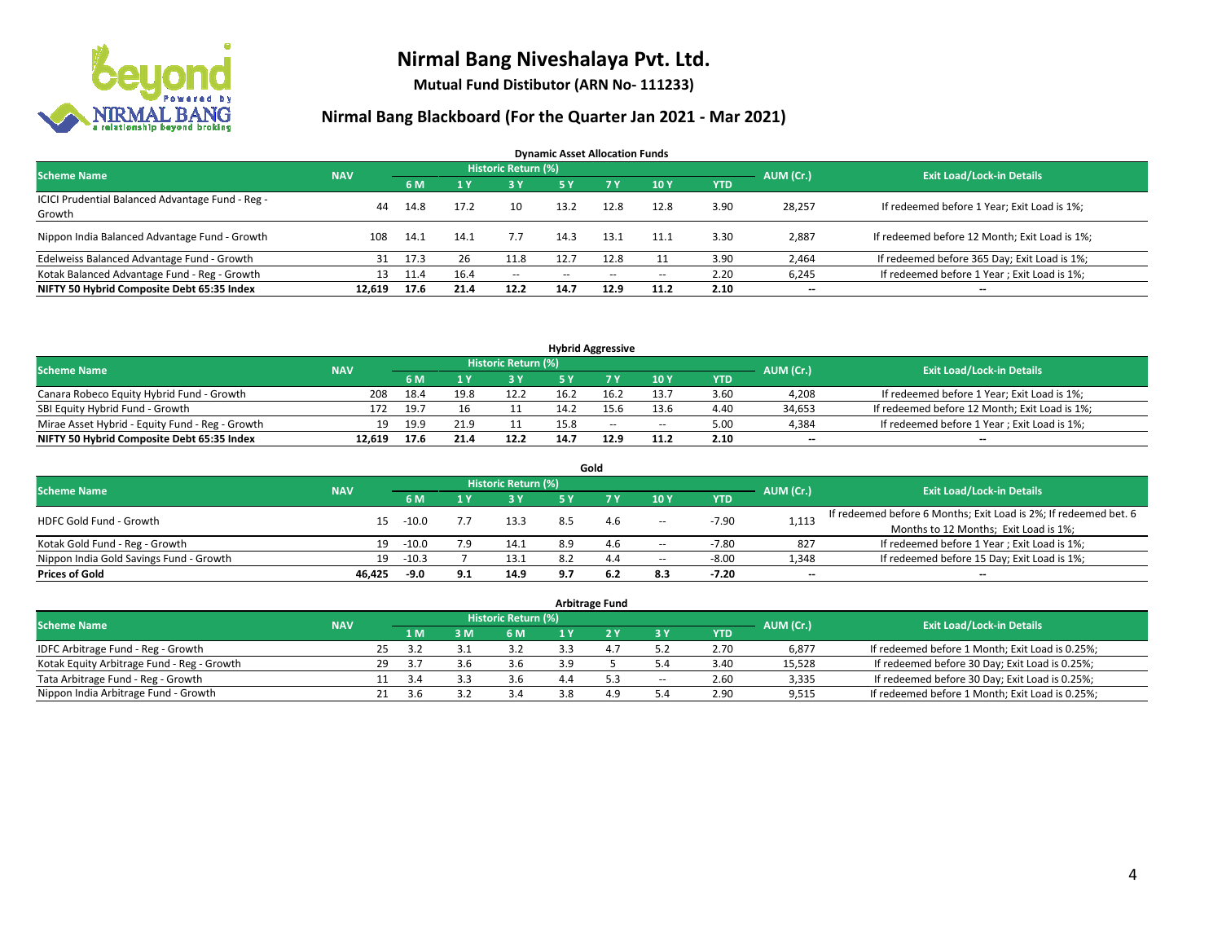

**Mutual Fund Distibutor (ARN No- 111233)**

| <b>Dynamic Asset Allocation Funds</b>                      |            |      |      |                            |               |        |       |            |           |                                               |  |  |  |
|------------------------------------------------------------|------------|------|------|----------------------------|---------------|--------|-------|------------|-----------|-----------------------------------------------|--|--|--|
| <b>Scheme Name</b>                                         | <b>NAV</b> |      |      | <b>Historic Return (%)</b> |               |        |       |            | AUM (Cr.) | <b>Exit Load/Lock-in Details</b>              |  |  |  |
|                                                            |            | 6 M  |      | 3 Y                        | 5 Y           | 7 Y    | 10Y   | <b>YTD</b> |           |                                               |  |  |  |
| ICICI Prudential Balanced Advantage Fund - Reg -<br>Growth | 44         | 14.8 | 17.2 | 10                         | 13.2          | 12.8   | 12.8  | 3.90       | 28,257    | If redeemed before 1 Year; Exit Load is 1%;   |  |  |  |
| Nippon India Balanced Advantage Fund - Growth              | 108.       | 14.1 | 14.1 | 7.7                        | 14.3          | 13.1   | 11.1  | 3.30       | 2,887     | If redeemed before 12 Month; Exit Load is 1%; |  |  |  |
| Edelweiss Balanced Advantage Fund - Growth                 | 31         | 17.3 | 26   | 11.8                       | 12.7          | 12.8   |       | 3.90       | 2,464     | If redeemed before 365 Day; Exit Load is 1%;  |  |  |  |
| Kotak Balanced Advantage Fund - Reg - Growth               | 13         | 11.4 | 16.4 | $\sim$ $-$                 | $\sim$ $\sim$ | $\sim$ | $\!-$ | 2.20       | 6,245     | If redeemed before 1 Year; Exit Load is 1%;   |  |  |  |
| NIFTY 50 Hybrid Composite Debt 65:35 Index                 | 12.619     | 17.6 | 21.4 | 12.2                       | 14.7          | 12.9   | 11.2  | 2.10       | $- -$     | --                                            |  |  |  |

| <b>Hybrid Aggressive</b>                        |            |      |      |                            |      |      |        |            |           |                                               |  |  |  |
|-------------------------------------------------|------------|------|------|----------------------------|------|------|--------|------------|-----------|-----------------------------------------------|--|--|--|
| <b>Scheme Name</b>                              | <b>NAV</b> |      |      | <b>Historic Return (%)</b> |      |      |        |            | AUM (Cr.) | <b>Exit Load/Lock-in Details</b>              |  |  |  |
|                                                 |            | 6 M  |      | י כ                        |      |      | 10Y    | <b>YTD</b> |           |                                               |  |  |  |
| Canara Robeco Equity Hybrid Fund - Growth       | 208        | 18.4 | 19.8 | 12.2                       |      |      | 13.7   | 3.60       | 4,208     | If redeemed before 1 Year; Exit Load is 1%;   |  |  |  |
| SBI Equity Hybrid Fund - Growth                 | 172        | 19.7 |      |                            | 14.2 |      | 13.6   | 4.40       | 34,653    | If redeemed before 12 Month; Exit Load is 1%; |  |  |  |
| Mirae Asset Hybrid - Equity Fund - Reg - Growth | 19         | 19.9 | 21.9 |                            | 15.8 | $-$  | $\sim$ | 5.00       | 4,384     | If redeemed before 1 Year; Exit Load is 1%;   |  |  |  |
| NIFTY 50 Hybrid Composite Debt 65:35 Index      | 12.619     | 17.6 | 21.4 | 12.2                       | 14.7 | 12.9 | 11.2   | 2.10       | $-$       | $-$                                           |  |  |  |

| Gold                                    |            |         |     |                     |     |     |       |            |                                  |                                                                  |  |  |  |
|-----------------------------------------|------------|---------|-----|---------------------|-----|-----|-------|------------|----------------------------------|------------------------------------------------------------------|--|--|--|
| <b>Scheme Name</b>                      | <b>NAV</b> |         |     | Historic Return (%) |     |     |       | AUM (Cr.)  | <b>Exit Load/Lock-in Details</b> |                                                                  |  |  |  |
|                                         |            | 6 M     |     | 73 Y.               | 5 Y |     | 10Y   | <b>YTD</b> |                                  |                                                                  |  |  |  |
| HDFC Gold Fund - Growth                 | 15         | $-10.0$ |     | 13.3                | 8.5 | 4.6 | $\!-$ | $-7.90$    | 1,113                            | If redeemed before 6 Months; Exit Load is 2%; If redeemed bet. 6 |  |  |  |
|                                         |            |         |     |                     |     |     |       |            |                                  | Months to 12 Months; Exit Load is 1%;                            |  |  |  |
| Kotak Gold Fund - Reg - Growth          | 19         | $-10.0$ | 7.9 | 14.1                | 8.9 | 4.6 | $\!-$ | $-7.80$    | 827                              | If redeemed before 1 Year; Exit Load is 1%;                      |  |  |  |
| Nippon India Gold Savings Fund - Growth | 19         | $-10.3$ |     | 13.1                | 8.2 | 4.4 | --    | $-8.00$    | 1,348                            | If redeemed before 15 Day; Exit Load is 1%;                      |  |  |  |
| <b>Prices of Gold</b>                   | 46.425     | $-9.0$  | 9.1 | 14.9                | 9.7 | 6.2 | 8.3   | $-7.20$    | --                               | $- -$                                                            |  |  |  |

| <b>Arbitrage Fund</b>                      |            |    |      |     |                            |  |     |       |            |           |                                                 |  |  |
|--------------------------------------------|------------|----|------|-----|----------------------------|--|-----|-------|------------|-----------|-------------------------------------------------|--|--|
| <b>Scheme Name</b>                         | <b>NAV</b> |    |      |     | <b>Historic Return (%)</b> |  |     |       |            | AUM (Cr.) | <b>Exit Load/Lock-in Details</b>                |  |  |
|                                            |            |    | 4 M  | 3 M | 6 M                        |  |     | ЗY    | <b>YTD</b> |           |                                                 |  |  |
| IDFC Arbitrage Fund - Reg - Growth         |            | 25 | 3.2  |     | 3.2                        |  | 4.7 |       | 2.70       | 6,877     | If redeemed before 1 Month; Exit Load is 0.25%; |  |  |
| Kotak Equity Arbitrage Fund - Reg - Growth |            | 29 | -3.7 | 3.6 | 3.6                        |  |     |       | 3.40       | 15,528    | If redeemed before 30 Day; Exit Load is 0.25%;  |  |  |
| Tata Arbitrage Fund - Reg - Growth         |            |    | 3.4  |     | 3.6                        |  | 53  | $\!-$ | 2.60       | 3,335     | If redeemed before 30 Day; Exit Load is 0.25%;  |  |  |
| Nippon India Arbitrage Fund - Growth       |            | 21 | 3.b  |     | 3.4                        |  | 4.9 | 5.4   | 2.90       | 9,515     | If redeemed before 1 Month; Exit Load is 0.25%; |  |  |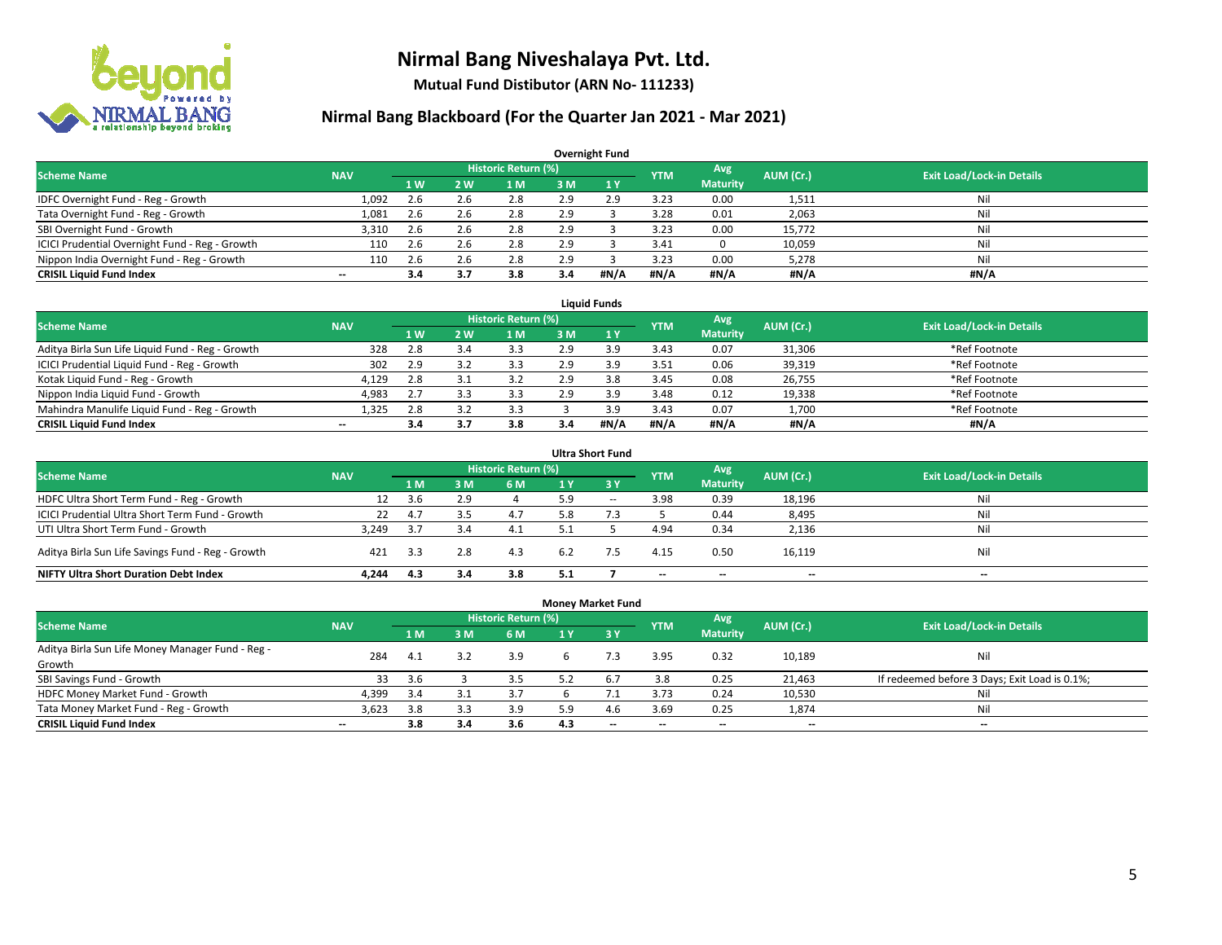

**Mutual Fund Distibutor (ARN No- 111233)**

| <b>Overnight Fund</b>                          |                          |     |     |                            |     |              |            |                 |           |                                  |  |  |  |  |
|------------------------------------------------|--------------------------|-----|-----|----------------------------|-----|--------------|------------|-----------------|-----------|----------------------------------|--|--|--|--|
| <b>Scheme Name</b>                             | <b>NAV</b>               |     |     | <b>Historic Return (%)</b> |     |              | <b>YTM</b> | Avg             | AUM (Cr.) | <b>Exit Load/Lock-in Details</b> |  |  |  |  |
|                                                |                          | 1 W | 2 W | 1 M                        | 3 M | $\sqrt{1}$ Y |            | <b>Maturity</b> |           |                                  |  |  |  |  |
| IDFC Overnight Fund - Reg - Growth             | 1,092                    | 2.6 | 2.6 | 2.8                        | 2.9 | 2.9          | 3.23       | 0.00            | 1,511     | Nil                              |  |  |  |  |
| Tata Overnight Fund - Reg - Growth             | 1,081                    | 2.6 | 2.6 | 2.8                        | 2.9 |              | 3.28       | 0.01            | 2,063     | Nil                              |  |  |  |  |
| SBI Overnight Fund - Growth                    | 3,310                    | 2.6 | 2.6 | 2.8                        | 2.9 |              | 3.23       | 0.00            | 15,772    | Nil                              |  |  |  |  |
| ICICI Prudential Overnight Fund - Reg - Growth | 110                      | 2.6 | 2.6 | 2.8                        | 2.9 |              | 3.41       |                 | 10,059    | Nil                              |  |  |  |  |
| Nippon India Overnight Fund - Reg - Growth     | 110                      | 2.6 | Z.b | 2.8                        | 2.9 |              | 3.23       | 0.00            | 5,278     | Nil                              |  |  |  |  |
| <b>CRISIL Liquid Fund Index</b>                | $\overline{\phantom{a}}$ | 3.4 | 3.7 | 3.8                        | 3.4 | #N/A         | #N/A       | #N/A            | #N/A      | #N/A                             |  |  |  |  |

| <b>Liquid Funds</b>                              |            |           |           |                     |     |      |            |                 |           |                                  |  |  |  |
|--------------------------------------------------|------------|-----------|-----------|---------------------|-----|------|------------|-----------------|-----------|----------------------------------|--|--|--|
| <b>Scheme Name</b>                               | <b>NAV</b> |           |           | Historic Return (%) |     |      | <b>YTM</b> | Avg             | AUM (Cr.) | <b>Exit Load/Lock-in Details</b> |  |  |  |
|                                                  |            | <b>1W</b> | <b>2W</b> | 1 M                 | 3 M |      |            | <b>Maturity</b> |           |                                  |  |  |  |
| Aditya Birla Sun Life Liquid Fund - Reg - Growth | 328        | 2.8       |           | 3.3                 | 2.9 |      | 3.43       | 0.07            | 31,306    | *Ref Footnote                    |  |  |  |
| ICICI Prudential Liquid Fund - Reg - Growth      | 302        | 2.9       |           | 3.3                 | 2.9 |      | 3.51       | 0.06            | 39,319    | *Ref Footnote                    |  |  |  |
| Kotak Liquid Fund - Reg - Growth                 | 4.129      | 2.8       |           | 3.2                 | 2.9 | 3.8  | 3.45       | 0.08            | 26,755    | *Ref Footnote                    |  |  |  |
| Nippon India Liquid Fund - Growth                | 4,983      | 2.7       |           | 3.3                 | 2.9 | 3.9  | 3.48       | 0.12            | 19,338    | *Ref Footnote                    |  |  |  |
| Mahindra Manulife Liquid Fund - Reg - Growth     | 1,325      | 2.8       |           | 3.3                 |     |      | 3.43       | 0.07            | 1,700     | *Ref Footnote                    |  |  |  |
| <b>CRISIL Liquid Fund Index</b>                  | $- -$      | 3.4       |           | 3.8                 | 3.4 | #N/A | #N/A       | #N/A            | #N/A      | #N/A                             |  |  |  |

| <b>Ultra Short Fund</b>                           |            |     |                |                            |     |        |                          |                          |           |                                  |  |  |  |
|---------------------------------------------------|------------|-----|----------------|----------------------------|-----|--------|--------------------------|--------------------------|-----------|----------------------------------|--|--|--|
| <b>Scheme Name</b>                                | <b>NAV</b> |     |                | <b>Historic Return (%)</b> |     |        | <b>YTM</b>               | Avg                      | AUM (Cr.) | <b>Exit Load/Lock-in Details</b> |  |  |  |
|                                                   |            | 1 M | 3 <sub>M</sub> | 6 M                        | 1 Y | 3Y     |                          | <b>Maturity</b>          |           |                                  |  |  |  |
| HDFC Ultra Short Term Fund - Reg - Growth         | 12         | 3.6 | 2.9            |                            | 5.9 | $\sim$ | 3.98                     | 0.39                     | 18,196    | Nil                              |  |  |  |
| ICICI Prudential Ultra Short Term Fund - Growth   | 22         | 4.7 | 3.5            | 4.7                        | 5.8 |        |                          | 0.44                     | 8,495     | Nil                              |  |  |  |
| UTI Ultra Short Term Fund - Growth                | 3.249      | 3.7 |                | 4.1                        |     |        | 4.94                     | 0.34                     | 2,136     | Ni                               |  |  |  |
| Aditya Birla Sun Life Savings Fund - Reg - Growth | 421        | 3.3 | 2.8            | 4.3                        | 6.2 |        | 4.15                     | 0.50                     | 16,119    | Nil                              |  |  |  |
| <b>NIFTY Ultra Short Duration Debt Index</b>      | 4.244      | 4.3 | 3.4            | 3.8                        | 5.1 |        | $\overline{\phantom{a}}$ | $\overline{\phantom{a}}$ | $- -$     | $-$                              |  |  |  |

| <b>Money Market Fund</b>                         |            |     |     |                            |     |                               |                          |                 |                          |                                               |  |  |  |  |
|--------------------------------------------------|------------|-----|-----|----------------------------|-----|-------------------------------|--------------------------|-----------------|--------------------------|-----------------------------------------------|--|--|--|--|
| <b>Scheme Name</b>                               | <b>NAV</b> |     |     | <b>Historic Return (%)</b> |     |                               | <b>YTM</b>               | Avg             | AUM (Cr.)                | <b>Exit Load/Lock-in Details</b>              |  |  |  |  |
|                                                  |            | 1 M | 3 M | 6 M                        | 1 Y | $\overline{3}$ $\overline{Y}$ |                          | <b>Maturity</b> |                          |                                               |  |  |  |  |
| Aditya Birla Sun Life Money Manager Fund - Reg - | 284        | 4.1 | 3.2 | 3.9                        |     |                               | 3.95                     | 0.32            | 10,189                   | Nil                                           |  |  |  |  |
| Growth                                           |            |     |     |                            |     |                               |                          |                 |                          |                                               |  |  |  |  |
| SBI Savings Fund - Growth                        | 33         | 3.6 |     | 3.5                        | 5.2 | 6.7                           | 3.8                      | 0.25            | 21,463                   | If redeemed before 3 Days; Exit Load is 0.1%; |  |  |  |  |
| HDFC Money Market Fund - Growth                  | 4,399      | 3.4 |     | 3.7                        |     | $\overline{\phantom{a}}$      | 3.73                     | 0.24            | 10,530                   | Nil                                           |  |  |  |  |
| Tata Money Market Fund - Reg - Growth            | 3,623      | 3.8 |     | 3.9                        | 5 Q | 4.6                           | 3.69                     | 0.25            | 1,874                    | Nil                                           |  |  |  |  |
| <b>CRISIL Liquid Fund Index</b>                  | $- -$      | 3.8 | 3.4 | 3.6                        | 4.3 | $- -$                         | $\overline{\phantom{a}}$ | $- -$           | $\overline{\phantom{a}}$ | $\overline{\phantom{a}}$                      |  |  |  |  |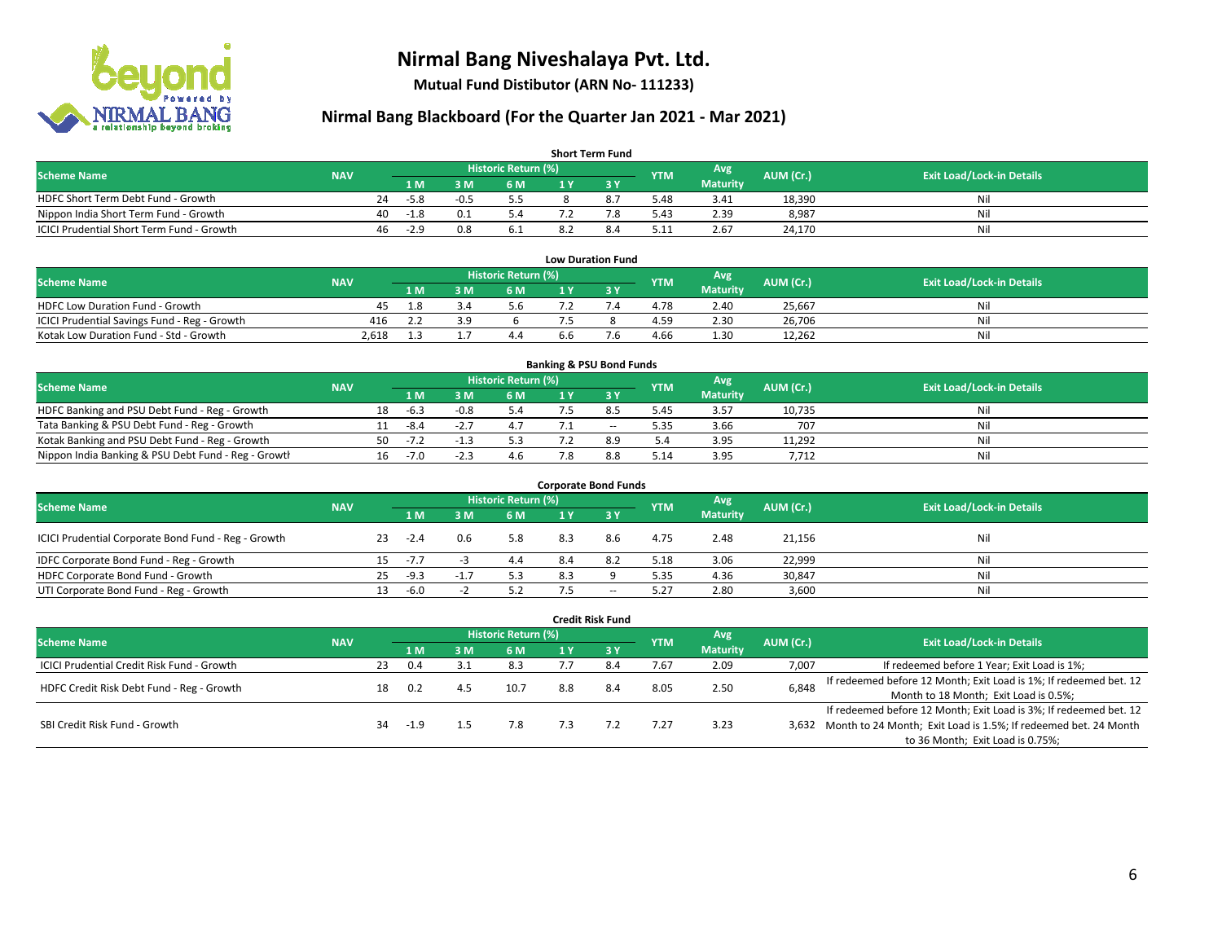

**Mutual Fund Distibutor (ARN No- 111233)**

| <b>Short Term Fund</b>                                                                                                                            |  |     |                |        |     |  |     |      |                 |        |     |  |  |  |
|---------------------------------------------------------------------------------------------------------------------------------------------------|--|-----|----------------|--------|-----|--|-----|------|-----------------|--------|-----|--|--|--|
| <b>Historic Return (%)</b><br>Avg <sup>1</sup><br><b>Scheme Name</b><br>AUM (Cr.)<br><b>Exit Load/Lock-in Details</b><br><b>NAV</b><br><b>YTM</b> |  |     |                |        |     |  |     |      |                 |        |     |  |  |  |
|                                                                                                                                                   |  |     | 1 <sub>M</sub> | 3 M    | 6 M |  |     |      | <b>Maturity</b> |        |     |  |  |  |
| HDFC Short Term Debt Fund - Growth                                                                                                                |  | 24  | $-5.8$         | $-0.5$ | 5.5 |  | 8.7 | 5.48 | 3.41            | 18,390 | Ni  |  |  |  |
| Nippon India Short Term Fund - Growth                                                                                                             |  | 40  | -1.8           |        | 5.4 |  | 7.8 | 5.43 | 2.39            | 8,987  | Ni  |  |  |  |
| <b>ICICI Prudential Short Term Fund - Growth</b>                                                                                                  |  | 46. | $-2.9$         | 0.8    | 6.1 |  | 8.4 | 5.11 | 2.67            | 24,170 | Nil |  |  |  |

| <b>Low Duration Fund</b>                     |            |     |    |                     |     |  |            |                 |           |                                  |  |  |  |  |
|----------------------------------------------|------------|-----|----|---------------------|-----|--|------------|-----------------|-----------|----------------------------------|--|--|--|--|
| <b>Scheme Name</b>                           | <b>NAV</b> |     |    | Historic Return (%) |     |  | <b>YTM</b> | Avg             | AUM (Cr.) | <b>Exit Load/Lock-in Details</b> |  |  |  |  |
|                                              |            | 1 M | ١M | 6 M                 |     |  |            | <b>Maturity</b> |           |                                  |  |  |  |  |
| <b>HDFC Low Duration Fund - Growth</b>       | 45         |     |    | 5.6                 |     |  | 4.78       | 2.40            | 25,667    | Nil                              |  |  |  |  |
| ICICI Prudential Savings Fund - Reg - Growth | 416        |     |    |                     |     |  | 4.59       | 2.30            | 26,706    | Nil                              |  |  |  |  |
| Kotak Low Duration Fund - Std - Growth       | 2.618      |     |    | 4.4                 | 6.6 |  | 4.66       | 1.30            | 12,262    | Nil                              |  |  |  |  |

| <b>Banking &amp; PSU Bond Funds</b>                 |            |     |        |                          |                     |    |        |            |                 |           |                                  |  |  |  |
|-----------------------------------------------------|------------|-----|--------|--------------------------|---------------------|----|--------|------------|-----------------|-----------|----------------------------------|--|--|--|
| <b>Scheme Name</b>                                  | <b>NAV</b> |     |        |                          | Historic Return (%) |    |        | <b>YTM</b> | Avg             | AUM (Cr.) | <b>Exit Load/Lock-in Details</b> |  |  |  |
|                                                     |            |     | 1 M    | . M                      | 6 M                 |    |        |            | <b>Maturity</b> |           |                                  |  |  |  |
| HDFC Banking and PSU Debt Fund - Reg - Growth       |            | 18  | -6.3   | $-0.8$                   |                     |    |        | 5.45       | 3.57            | 10,735    | Nil                              |  |  |  |
| Tata Banking & PSU Debt Fund - Reg - Growth         |            |     | -8.4   | $\overline{\phantom{a}}$ |                     |    | $\sim$ | 5.35       | 3.66            | 707       | Nil                              |  |  |  |
| Kotak Banking and PSU Debt Fund - Reg - Growth      |            | 50. | ے ۔ ا  | -1.3                     | 5.3                 |    | 8.9    | 5.4        | 3.95            | 11.292    | Nil                              |  |  |  |
| Nippon India Banking & PSU Debt Fund - Reg - Growth |            | 16  | $-7.0$ | -4.-                     |                     | .8 | 8.8    | 5.14       | 3.95            | 7,712     | Nil                              |  |  |  |

| <b>Corporate Bond Funds</b>                         |            |    |        |        |                            |     |                          |            |                 |           |                                  |  |  |  |
|-----------------------------------------------------|------------|----|--------|--------|----------------------------|-----|--------------------------|------------|-----------------|-----------|----------------------------------|--|--|--|
| <b>Scheme Name</b>                                  |            |    |        |        | <b>Historic Return (%)</b> |     |                          | <b>YTM</b> | Avg             | AUM (Cr.) | <b>Exit Load/Lock-in Details</b> |  |  |  |
|                                                     | <b>NAV</b> |    | 1 M    | M      | 6 M                        | 1 Y | 73 Y                     |            | <b>Maturity</b> |           |                                  |  |  |  |
| ICICI Prudential Corporate Bond Fund - Reg - Growth |            | 23 | -2.4   | 0.6    | 5.8                        | 8.3 | 8.6                      | 4.75       | 2.48            | 21,156    | Nil                              |  |  |  |
| IDFC Corporate Bond Fund - Reg - Growth             |            | 15 | $-7.7$ |        | 4.4                        | 8.4 | 8.2                      | 5.18       | 3.06            | 22,999    | Nil                              |  |  |  |
| HDFC Corporate Bond Fund - Growth                   |            | 25 | $-9.3$ | $-1.7$ | 5.3                        | 8.3 |                          | 5.35       | 4.36            | 30,847    | Nil                              |  |  |  |
| UTI Corporate Bond Fund - Reg - Growth              |            |    | -6.0   | $\sim$ | 5.2                        |     | $\overline{\phantom{a}}$ | 5.27       | 2.80            | 3,600     | Nil                              |  |  |  |

| <b>Credit Risk Fund</b>                    |            |    |      |     |                            |     |           |            |                        |           |                                                                       |  |  |
|--------------------------------------------|------------|----|------|-----|----------------------------|-----|-----------|------------|------------------------|-----------|-----------------------------------------------------------------------|--|--|
| <b>Scheme Name</b>                         | <b>NAV</b> |    |      |     | <b>Historic Return (%)</b> |     |           | <b>YTM</b> | Avg<br><b>Maturity</b> | AUM (Cr.) | <b>Exit Load/Lock-in Details</b>                                      |  |  |
|                                            |            |    | 1 M  | : M | 6 M                        | 1 Y | $Z$ 3 $V$ |            |                        |           |                                                                       |  |  |
| ICICI Prudential Credit Risk Fund - Growth |            | 23 | 0.4  |     | 8.3                        |     | 8.4       | 7.67       | 2.09                   | 7,007     | If redeemed before 1 Year; Exit Load is 1%;                           |  |  |
| HDFC Credit Risk Debt Fund - Reg - Growth  |            | 18 | 0.2  | 4.5 | 10.7                       | 8.8 | 8.4       | 8.05       | 2.50                   | 6,848     | If redeemed before 12 Month; Exit Load is 1%; If redeemed bet. 12     |  |  |
|                                            |            |    |      |     |                            |     |           |            |                        |           | Month to 18 Month; Exit Load is 0.5%;                                 |  |  |
| SBI Credit Risk Fund - Growth              |            |    |      |     |                            |     |           |            |                        |           | If redeemed before 12 Month; Exit Load is 3%; If redeemed bet. 12     |  |  |
|                                            |            | 34 | -1.9 |     | 7.8                        |     |           | 7.27       | 3.23                   |           | 3,632 Month to 24 Month; Exit Load is 1.5%; If redeemed bet. 24 Month |  |  |
|                                            |            |    |      |     |                            |     |           |            |                        |           | to 36 Month; Exit Load is 0.75%;                                      |  |  |